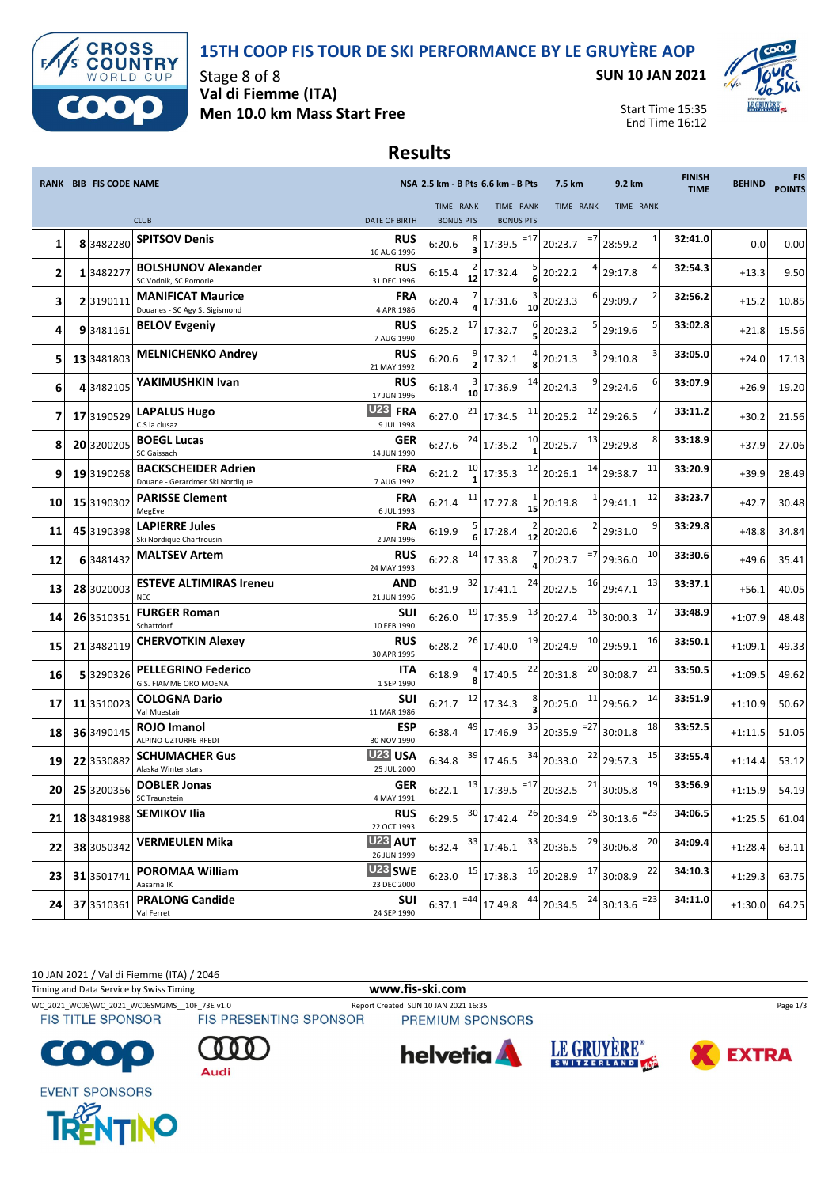

### **15TH COOP FIS TOUR DE SKI PERFORMANCE BY LE GRUYÈRE AOP**

**SUN 10 JAN 2021**



Start Time 15:35 End Time 16:12

## **Results**

|    | <b>RANK BIB FIS CODE NAME</b> |                                                               |                                          |                               | NSA 2.5 km - B Pts 6.6 km - B Pts                                                                                                                 | 7.5 km                   | 9.2 km             | <b>FINISH</b><br><b>TIME</b> | <b>BEHIND</b> | <b>FIS</b><br><b>POINTS</b> |
|----|-------------------------------|---------------------------------------------------------------|------------------------------------------|-------------------------------|---------------------------------------------------------------------------------------------------------------------------------------------------|--------------------------|--------------------|------------------------------|---------------|-----------------------------|
|    |                               | <b>CLUB</b>                                                   | <b>DATE OF BIRTH</b>                     | TIME RANK<br><b>BONUS PTS</b> | TIME RANK<br><b>BONUS PTS</b>                                                                                                                     | TIME RANK                | TIME RANK          |                              |               |                             |
| 1  | 8 3482280                     | <b>SPITSOV Denis</b>                                          | <b>RUS</b>                               | 6:20.6                        | $17:39.5$ <sup>=17</sup>                                                                                                                          | $=7$<br>20:23.7          | 28:59.2            | 32:41.0                      | 0.0           | 0.00                        |
| 2  | 1 3482277                     | <b>BOLSHUNOV Alexander</b><br>SC Vodnik, SC Pomorie           | 16 AUG 1996<br><b>RUS</b><br>31 DEC 1996 | 6:15.4<br>12                  | 17:32.4                                                                                                                                           | 20:22.2                  | 29:17.8            | 32:54.3                      | $+13.3$       | 9.50                        |
| 3  | 2 3190111                     | <b>MANIFICAT Maurice</b><br>Douanes - SC Agy St Sigismond     | FRA<br>4 APR 1986                        | 6:20.4                        | 17:31.6<br>10                                                                                                                                     | 20:23.3                  | 29:09.7            | 32:56.2                      | $+15.2$       | 10.85                       |
| 4  | 93481161                      | <b>BELOV Evgeniy</b>                                          | <b>RUS</b><br>7 AUG 1990                 | 17<br>6:25.2                  | 17:32.7                                                                                                                                           | 20:23.2                  | 29:19.6            | 33:02.8                      | $+21.8$       | 15.56                       |
| 5  | 13 3481803                    | <b>MELNICHENKO Andrey</b>                                     | <b>RUS</b><br>21 MAY 1992                | 6:20.6                        | 17:32.1                                                                                                                                           | 20:21.3                  | 29:10.8            | 33:05.0                      | $+24.0$       | 17.13                       |
| 6  | 4 3482105                     | YAKIMUSHKIN Ivan                                              | <b>RUS</b><br>17 JUN 1996                | 6:18.4<br>10                  | 14<br>17:36.9                                                                                                                                     | 20:24.3                  | 29:24.6            | 33:07.9                      | $+26.9$       | 19.20                       |
| 7  | 17 3190529                    | <b>LAPALUS Hugo</b><br>C.S la clusaz                          | U23 FRA<br>9 JUL 1998                    | 21<br>6:27.0                  | 11<br>17:34.5                                                                                                                                     | 12<br>20:25.2            | 29:26.5            | 33:11.2                      | $+30.2$       | 21.56                       |
| 8  | 20 3200205                    | <b>BOEGL Lucas</b><br>SC Gaissach                             | <b>GER</b><br>14 JUN 1990                | 24<br>6:27.6                  | 10<br>17:35.2                                                                                                                                     | 13<br>20:25.7            | 29:29.8            | 33:18.9                      | $+37.9$       | 27.06                       |
| 9  | 19 3190268                    | <b>BACKSCHEIDER Adrien</b><br>Douane - Gerardmer Ski Nordique | <b>FRA</b><br>7 AUG 1992                 | 10<br>6:21.2                  | 12<br>17:35.3                                                                                                                                     | 14<br>20:26.1            | 11<br>29:38.7      | 33:20.9                      | $+39.9$       | 28.49                       |
| 10 | 15 3190302                    | <b>PARISSE Clement</b><br>MegEve                              | <b>FRA</b><br>6 JUL 1993                 | 11<br>6:21.4                  | 17:27.8<br>15                                                                                                                                     | 20:19.8                  | 12<br>29:41.1      | 33:23.7                      | $+42.7$       | 30.48                       |
| 11 | 45 3190398                    | <b>LAPIERRE Jules</b><br>Ski Nordique Chartrousin             | FRA<br>2 JAN 1996                        | 6:19.9                        | 17:28.4<br>12                                                                                                                                     | 20:20.6                  | 29:31.0            | 33:29.8                      | $+48.8$       | 34.84                       |
| 12 | 6 3481432                     | <b>MALTSEV Artem</b>                                          | <b>RUS</b><br>24 MAY 1993                | 14<br>6:22.8                  | 17:33.8                                                                                                                                           | $=7$<br>20:23.7          | 10<br>29:36.0      | 33:30.6                      | $+49.6$       | 35.41                       |
| 13 | 28 3020003                    | <b>ESTEVE ALTIMIRAS Ireneu</b><br><b>NEC</b>                  | <b>AND</b><br>21 JUN 1996                | 32<br>6:31.9                  | 24<br>17:41.1                                                                                                                                     | 16<br>20:27.5            | 13<br>29:47.1      | 33:37.1                      | $+56.1$       | 40.05                       |
| 14 | 26 3510351                    | <b>FURGER Roman</b><br>Schattdorf                             | <b>SUI</b><br>10 FEB 1990                | 19<br>6:26.0                  | 13<br>17:35.9                                                                                                                                     | 15<br>20:27.4            | 17<br>30:00.3      | 33:48.9                      | $+1:07.9$     | 48.48                       |
| 15 | 21 3482119                    | <b>CHERVOTKIN Alexey</b>                                      | <b>RUS</b><br>30 APR 1995                | 26<br>6:28.2                  | 19<br>17:40.0                                                                                                                                     | 10<br>20:24.9            | 16<br>29:59.1      | 33:50.1                      | $+1:09.1$     | 49.33                       |
| 16 | 5 3290326                     | <b>PELLEGRINO Federico</b><br>G.S. FIAMME ORO MOENA           | ITA<br>1 SEP 1990                        | 6:18.9                        | 22<br>17:40.5                                                                                                                                     | 20<br>20:31.8            | 21<br>30:08.7      | 33:50.5                      | $+1:09.5$     | 49.62                       |
| 17 | 11 3510023                    | <b>COLOGNA Dario</b><br>Val Muestair                          | <b>SUI</b><br>11 MAR 1986                | 12<br>6:21.7                  | 8<br>17:34.3                                                                                                                                      | 11<br>20:25.0            | 14<br>29:56.2      | 33:51.9                      | $+1:10.9$     | 50.62                       |
| 18 | 36 3490145                    | <b>ROJO Imanol</b><br>ALPINO UZTURRE-RFEDI                    | <b>ESP</b><br>30 NOV 1990                | 49<br>6:38.4                  | 35<br>17:46.9                                                                                                                                     | $20:35.9$ <sup>=27</sup> | 18<br>30:01.8      | 33:52.5                      | $+1:11.5$     | 51.05                       |
| 19 | 22 3530882                    | <b>SCHUMACHER Gus</b><br>Alaska Winter stars                  | U <sub>23</sub> USA<br>25 JUL 2000       | 39<br>6:34.8                  | 34<br>17:46.5                                                                                                                                     | 22<br>20:33.0            | 15<br>29:57.3      | 33:55.4                      | $+1:14.4$     | 53.12                       |
| 20 | 25 3200356                    | <b>DOBLER Jonas</b><br>SC Traunstein                          | <b>GER</b><br>4 MAY 1991                 | 6:22.1                        | $\begin{array}{c c} 13 & 17:39.5 \end{array}$ = 17                                                                                                | 21<br>20:32.5            | 19<br>30:05.8      | 33:56.9                      | $+1:15.9$     | 54.19                       |
| 21 |                               | 18 3481988 SEMIKOV Ilia                                       | <b>RUS</b><br>22 OCT 1993                |                               | 6:29.5 $30 17:42.4$ $26 20:34.9$ $25 30:13.6$ = 23                                                                                                |                          |                    | 34:06.5                      | $+1:25.5$     | 61.04                       |
| 22 | 38 3050342                    | <b>VERMEULEN Mika</b>                                         | U23 AUT<br>26 JUN 1999                   |                               | 6:32.4 $33 \begin{bmatrix} 3.3 \\ 17.46.1 \end{bmatrix}$ 20:36.5 $29 \begin{bmatrix} 29 \\ 30.06.8 \end{bmatrix}$                                 |                          | 20                 | 34:09.4                      | $+1:28.4$     | 63.11                       |
| 23 | 31 3501741                    | POROMAA William<br>Aasarna IK                                 | U23 SWE<br>23 DEC 2000                   |                               | 6:23.0 $15 \begin{array}{ c c c c c } \hline 15 & 17.38.3 & 16 \end{array}$ 20:28.9 $17 \begin{array}{ c c c c } \hline 30.08.9 & 16 \end{array}$ |                          | 22                 | 34:10.3                      | $+1:29.3$     | 63.75                       |
| 24 | 37 3510361                    | <b>PRALONG Candide</b><br>Val Ferret                          | SUI<br>24 SEP 1990                       |                               | 6:37.1 $^{-44}$ 17:49.8 $^{44}$ 20:34.5                                                                                                           |                          | $24$ 30:13.6 $-23$ | 34:11.0                      | $+1:30.0$     | 64.25                       |

10 JAN 2021 / Val di Fiemme (ITA) / 2046

Timing and Data Service by Swiss Timing **www.fis-ski.com**

WC\_2021\_WC06\WC\_2021\_WC06SM2MS\_\_10F\_73E v1.0 Report Created SUN 10 JAN 2021 16:35 Page 1/3<br>FIS TITLE SPONSOR FIS PRESENTING SPONSOR PREMIUM SPONSORS

**FIS TITLE SPONSOR** 

PREMIUM SPONSORS











**EVENT SPONSORS** 



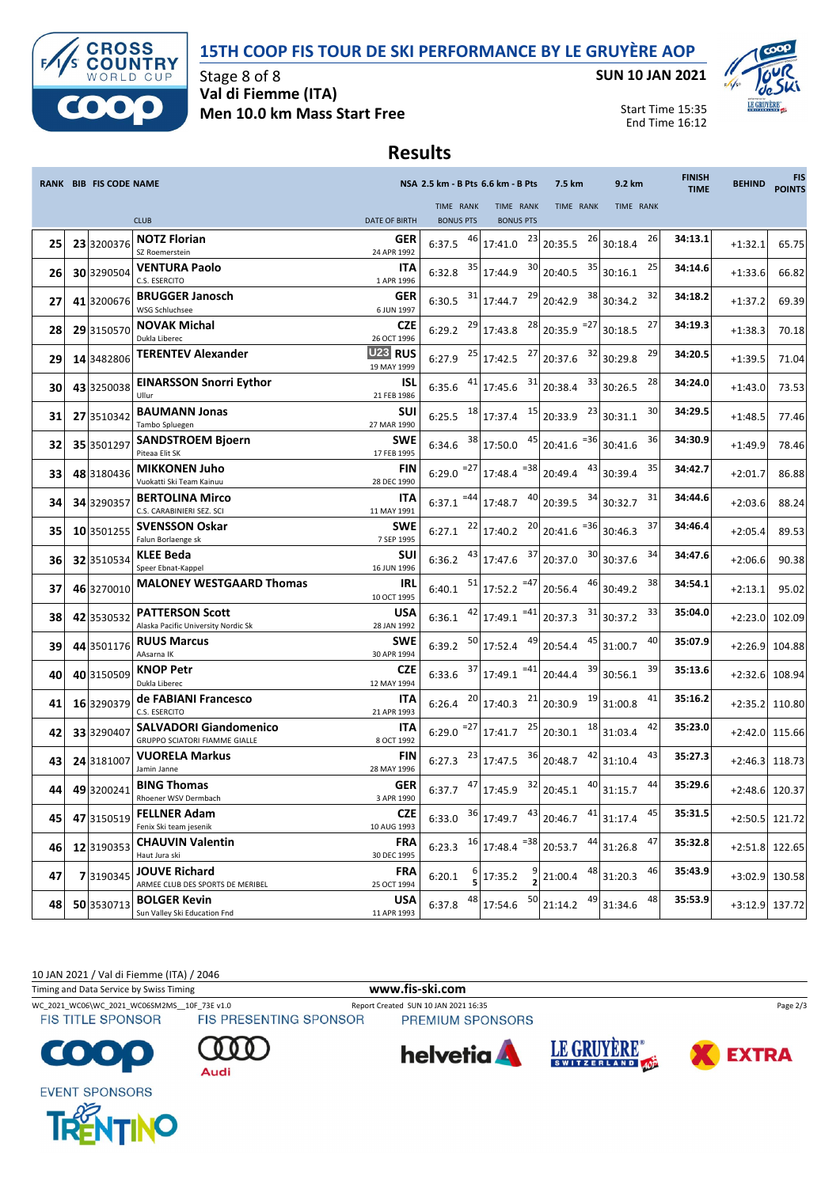



Stage 8 of 8 **Val di Fiemme (ITA) Men 10.0 km Mass Start Free** **SUN 10 JAN 2021**



Start Time 15:35 End Time 16:12

### **Results**

|    | <b>RANK BIB FIS CODE NAME</b> |                                                                |                                    |                               | NSA 2.5 km - B Pts 6.6 km - B Pts  | 7.5 km                                        | 9.2 km             | <b>FINISH</b><br><b>TIME</b> | <b>BEHIND</b> | <b>FIS</b><br><b>POINTS</b> |
|----|-------------------------------|----------------------------------------------------------------|------------------------------------|-------------------------------|------------------------------------|-----------------------------------------------|--------------------|------------------------------|---------------|-----------------------------|
|    |                               | <b>CLUB</b>                                                    | <b>DATE OF BIRTH</b>               | TIME RANK<br><b>BONUS PTS</b> | TIME RANK<br><b>BONUS PTS</b>      | TIME RANK                                     | TIME RANK          |                              |               |                             |
| 25 | 23 3200376                    | <b>NOTZ Florian</b><br>SZ Roemerstein                          | GER<br>24 APR 1992                 | 46<br>6:37.5                  | 23<br>17:41.0                      | 20:35.5                                       | $26$ 30:18.4<br>26 | 34:13.1                      | $+1:32.1$     | 65.75                       |
| 26 | 30 3290504                    | <b>VENTURA Paolo</b><br>C.S. ESERCITO                          | <b>ITA</b><br>1 APR 1996           | 35<br>6:32.8                  | 30<br>17:44.9                      | 20:40.5                                       | $35$ 30:16.1<br>25 | 34:14.6                      | $+1:33.6$     | 66.82                       |
| 27 | 41 3200676                    | <b>BRUGGER Janosch</b><br>WSG Schluchsee                       | <b>GER</b><br>6 JUN 1997           | 31<br>6:30.5                  | 29<br>17:44.7                      | 38<br>20:42.9                                 | 32<br>30:34.2      | 34:18.2                      | $+1:37.2$     | 69.39                       |
| 28 | 29 3150570                    | <b>NOVAK Michal</b><br>Dukla Liberec                           | <b>CZE</b><br>26 OCT 1996          | 29<br>6:29.2                  | 28<br>17:43.8                      | $=27$<br>20:35.9                              | 27<br>30:18.5      | 34:19.3                      | $+1:38.3$     | 70.18                       |
| 29 | 14 3482806                    | <b>TERENTEV Alexander</b>                                      | U <sub>23</sub> RUS<br>19 MAY 1999 | 25<br>6:27.9                  | 17:42.5                            | $27$ 20:37.6                                  | 29<br>$32$ 30:29.8 | 34:20.5                      | $+1:39.5$     | 71.04                       |
| 30 | 43 3250038                    | <b>EINARSSON Snorri Eythor</b><br>Ullur                        | <b>ISL</b><br>21 FEB 1986          | 6:35.6                        | 31<br>17:45.6                      | 33<br>20:38.4                                 | 28<br>30:26.5      | 34:24.0                      | $+1:43.0$     | 73.53                       |
| 31 | 27 3510342                    | <b>BAUMANN Jonas</b><br>Tambo Spluegen                         | <b>SUI</b><br>27 MAR 1990          | 18<br>6:25.5                  | 15<br>17:37.4                      | 23<br>20:33.9                                 | 30<br>30:31.1      | 34:29.5                      | $+1:48.5$     | 77.46                       |
| 32 | 35 3501297                    | <b>SANDSTROEM Bjoern</b><br>Piteaa Elit SK                     | <b>SWE</b><br>17 FEB 1995          | 38<br>6:34.6                  | 45<br>17:50.0                      | $20:41.6$ <sup>=36</sup>                      | 36<br>30:41.6      | 34:30.9                      | $+1:49.9$     | 78.46                       |
| 33 | 48 3180436                    | <b>MIKKONEN Juho</b><br>Vuokatti Ski Team Kainuu               | <b>FIN</b><br>28 DEC 1990          | $6:29.0$ <sup>=27</sup>       | $17:48.4$ <sup>=38</sup>           | 43<br>20:49.4                                 | 35<br>30:39.4      | 34:42.7                      | $+2:01.7$     | 86.88                       |
| 34 | 34 3290357                    | <b>BERTOLINA Mirco</b><br>C.S. CARABINIERI SEZ. SCI            | <b>ITA</b><br>11 MAY 1991          | $6:37.1$ <sup>=44</sup>       | 40<br>17:48.7                      | 34<br>20:39.5                                 | 31<br>30:32.7      | 34:44.6                      | $+2:03.6$     | 88.24                       |
| 35 | 10 3501255                    | <b>SVENSSON Oskar</b><br>Falun Borlaenge sk                    | <b>SWE</b><br>7 SEP 1995           | 22<br>6:27.1                  | 17:40.2                            | $20$ <sub>20:41.6</sub><br>$= 36$             | 37<br>30:46.3      | 34:46.4                      | $+2:05.4$     | 89.53                       |
| 36 | 32 3510534                    | <b>KLEE Beda</b><br>Speer Ebnat-Kappel                         | <b>SUI</b><br>16 JUN 1996          | 43<br>6:36.2                  | $17:47.6$ <sup>37</sup> 20:37.0    | 30                                            | 34<br>30:37.6      | 34:47.6                      | $+2:06.6$     | 90.38                       |
| 37 | 46 3270010                    | <b>MALONEY WESTGAARD Thomas</b>                                | <b>IRL</b><br>10 OCT 1995          | 51<br>6:40.1                  | $17:52.2$ <sup>=47</sup>           | 46<br>20:56.4                                 | 38<br>30:49.2      | 34:54.1                      | $+2:13.1$     | 95.02                       |
| 38 | 42 3530532                    | <b>PATTERSON Scott</b><br>Alaska Pacific University Nordic Sk  | <b>USA</b><br>28 JAN 1992          | 42<br>6:36.1                  | $=41$<br>17:49.1                   | 31<br>20:37.3                                 | 33<br>30:37.2      | 35:04.0                      | $+2:23.0$     | 102.09                      |
| 39 | 44 3501176                    | <b>RUUS Marcus</b><br>AAsarna IK                               | <b>SWE</b><br>30 APR 1994          | 50<br>6:39.2                  | 49<br>17:52.4                      | 45<br>20:54.4                                 | 40<br>31:00.7      | 35:07.9                      | $+2:26.9$     | 104.88                      |
| 40 | 40 3150509                    | <b>KNOP Petr</b><br>Dukla Liberec                              | <b>CZE</b><br>12 MAY 1994          | 37<br>6:33.6                  | $17:49.1$ <sup>=41</sup>           | 39<br>20:44.4                                 | 39<br>30:56.1      | 35:13.6                      | $+2:32.6$     | 108.94                      |
| 41 | 16 3290379                    | de FABIANI Francesco<br>C.S. ESERCITO                          | <b>ITA</b><br>21 APR 1993          | 20<br>6:26.4                  | 21<br>17:40.3                      | 19<br>20:30.9                                 | 41<br>31:00.8      | 35:16.2                      | $+2:35.2$     | 110.80                      |
| 42 | 33 3290407                    | <b>SALVADORI Giandomenico</b><br>GRUPPO SCIATORI FIAMME GIALLE | ITA<br>8 OCT 1992                  | $6:29.0$ <sup>=27</sup>       | 25<br>17:41.7                      | 18<br>20:30.1                                 | 42<br>31:03.4      | 35:23.0                      | $+2:42.0$     | 115.66                      |
| 43 | 24 3181007                    | <b>VUORELA Markus</b><br>Jamin Janne                           | <b>FIN</b><br>28 MAY 1996          | 23<br>6:27.3                  | 36<br>17:47.5                      | 42<br>20:48.7                                 | 43<br>31:10.4      | 35:27.3                      | $+2:46.3$     | 118.73                      |
| 44 | 49 3200241                    | <b>BING Thomas</b><br>Rhoener WSV Dermbach                     | <b>GER</b><br>3 APR 1990           | 6:37.7                        | 32<br>17:45.9                      | 20:45.1                                       | $40$ 31:15.7<br>44 | 35:29.6                      | $+2:48.6$     | 120.37                      |
| 45 | 47 3150519                    | <b>FELLNER Adam</b><br>Fenix Ski team jesenik                  | <b>CZE</b><br>10 AUG 1993          |                               |                                    | 6:33.0 $36$ 17:49.7 $43$ 20:46.7 $41$ 31:17.4 | 45                 | 35:31.5                      |               | $+2:50.5$ 121.72            |
| 46 | 12 3190353                    | <b>CHAUVIN Valentin</b><br>Haut Jura ski                       | <b>FRA</b><br>30 DEC 1995          |                               | 6:23.3 $16$ 17:48.4 $= 38$ 20:53.7 |                                               | $44$ 31:26.8<br>47 | 35:32.8                      |               | $+2:51.8$ 122.65            |
| 47 | 73190345                      | <b>JOUVE Richard</b><br>ARMEE CLUB DES SPORTS DE MERIBEL       | <b>FRA</b><br>25 OCT 1994          | 6:20.1                        | 17:35.2                            | 21:00.4                                       | $48$ 31:20.3<br>46 | 35:43.9                      |               | +3:02.9 130.58              |
| 48 | 50 3530713                    | <b>BOLGER Kevin</b><br>Sun Valley Ski Education Fnd            | <b>USA</b><br>11 APR 1993          | 48<br>6:37.8                  | 50<br>17:54.6                      | 21:14.2                                       | $49$ 31:34.6<br>48 | 35:53.9                      |               | +3:12.9 137.72              |

10 JAN 2021 / Val di Fiemme (ITA) / 2046

Timing and Data Service by Swiss Timing **www.fis-ski.com**

WC\_2021\_WC06\WC\_2021\_WC06SM2MS\_\_10F\_73E v1.0 Report Created SUN 10 JAN 2021 16:35 Page 2/3<br>FIS TITLE SPONSOR FIS PRESENTING SPONSOR PREMIUM SPONSORS

**FIS TITLE SPONSOR** 

Audi

PREMIUM SPONSORS







**EVENT SPONSORS** 

**COTO**